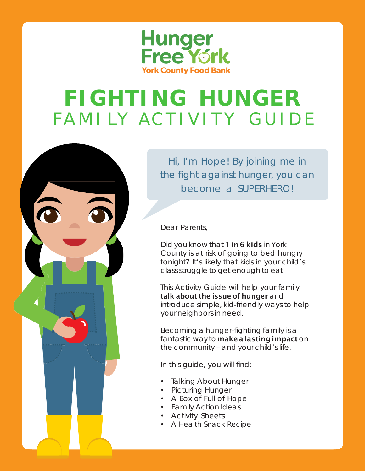

### **FIGHTING HUNGER** FAMI LY ACTIVITY GUIDE



Hi, I'm Hope! By joining me in the fight against hunger, you can become a SUPERHERO!

Dear Parents,

Did you know that 1 in 6 kids in York County is at risk of going to bed hungry tonight? It's likely that kids in your child's class struggle to get enough to eat.

This Activity Guide will help your family talk about the issue of hunger and introduce simple, kid-friendly ways to help your neighbors in need.

Becoming a hunger-fighting family is a fantastic way to make a lasting impact on the community – and your child's life.

In this guide, you will find:

- Talking About Hunger
- Picturing Hunger
- A Box of Full of Hope
- Family Action Ideas
- Activity Sheets
- A Health Snack Recipe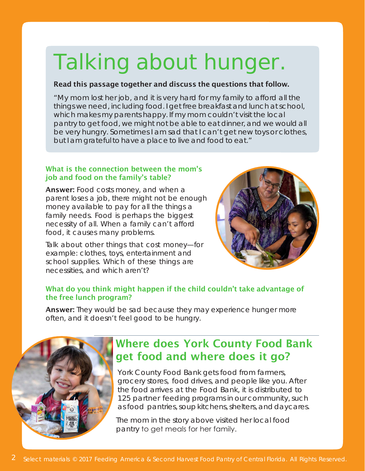## Talking about hunger.

#### Read this passage together and discuss the questions that follow.

"My mom lost her job, and it is very hard for my family to afford all the things we need, including food. I get freebreakfast and lunch at school, which makes my parents happy. If my mom couldn't visit the local pantry to get food, we might not be able to eat dinner, and we would all be very hungry. Sometimes I am sad that I can't get new toys or clothes, but I am grateful to have a place to live and food to eat."

#### What is the connection between the mom's job and food on the family's table?

Answer: Food costs money, and when a parent loses a job, there might not be enough money available to pay for all the things a family needs. Food is perhaps the biggest necessity of all. When a family can't afford food, it causes many problems.

Talk about other things that cost money—for example: clothes, toys, entertainment and school supplies. Which of these things are necessities, and which aren't?



#### What do you think might happen if the child couldn't take advantage of the free lunch program?

Answer: They would be sad because they may experience hunger more often, and it doesn't feel good to be hungry.



### Where does York County Food Bank get food and where does it go?

York County Food Bank gets food from farmers, grocery stores, food drives, and people like you. After the food arrives at the Food Bank, it is distributed to 125 partner feeding programs in our community, such as food pantries, soup kitchens, shelters, and daycares.

The mom in the story above visited her local food pantry to get meals for her family.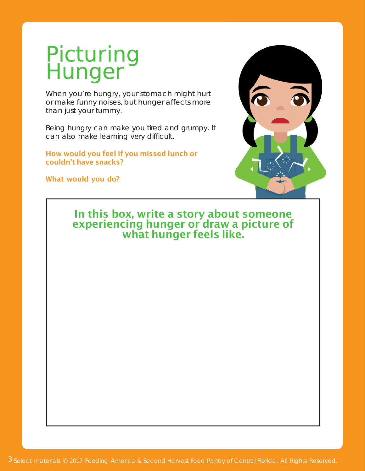### Picturing Hunger

When you're hungry, your stomach might hurt or make funny noises, but hunger affects more than just your tummy.

Being hungry can make you tired and grumpy. It can also make learning very difficult.

How would you feel if you missed lunch or couldn't have snacks?

What would you do?



#### In this box, write a story about someone experiencing hunger or draw a picture of what hunger feels like.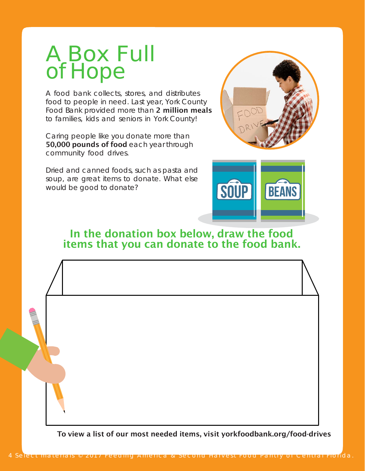### A Box Full of Hope

A food bank collects, stores, and distributes food to people in need. Last year, York County Food Bank provided more than 2 million meals to families, kids and seniors in York County!

Caring people like you donate more than 50,000 pounds of food each year through community food drives.

Dried and canned foods, such as pasta and soup, are great items to donate. What else would be good to donate?





In the donation box below, draw the food items that you can donate to the food bank.

To view a list of our most needed items, visit yorkfoodbank.org/food-drives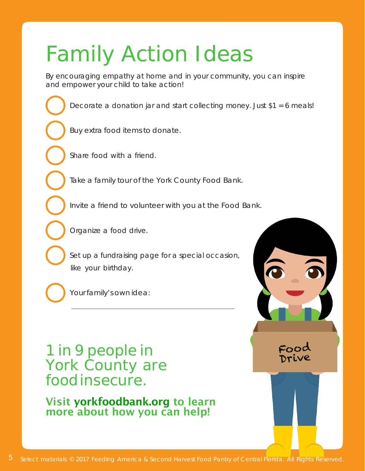# Family Action Ideas

By encouraging empathy at home and in your community, you can inspire and empower your child to take action!

Decorate a donation jar and start collecting money. Just \$1 = 6 meals!

Buy extra food items to donate.

Share food with a friend.

Take a family tour of the York County Food Bank.

Invite a friend to volunteer with you at the Food Bank.

Organize a food drive.

Set up a fundraising page for a special occasion, like your birthday.

Your family's own idea:

1 in 9 people in York County are foodinsecure.

Visit yorkfoodbank.org to learn more about how you can help!

Food Drive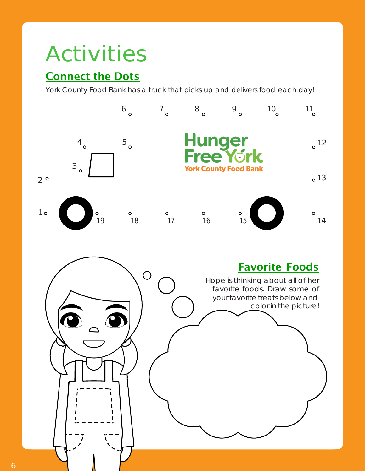# Activities

### **Connect the Dots**

York County Food Bank has a truck that picks up and delivers food each day!

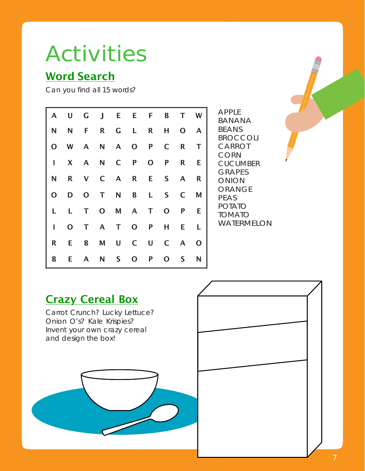# Activities

### Word Search

Can you find all 15 words?

| AF<br>ΒA<br>BE<br><b>BR</b>                                  | T W          |              | B            |              | E E F           |           | $U$ G $J$ |              |              | $\mathsf{A}$ |
|--------------------------------------------------------------|--------------|--------------|--------------|--------------|-----------------|-----------|-----------|--------------|--------------|--------------|
|                                                              | $\mathsf{A}$ | $\mathbf{O}$ | H            | R            | R G L           |           |           | F            | N            | N            |
| C                                                            | T            | R            | $\mathsf{C}$ |              | A N A O P       |           |           |              | W            | $\mathbf{O}$ |
| C(<br>Cl<br>GI<br>$\bigcirc$<br>$\bigcirc$<br>PE<br>РC<br>TC | Е            | R            | P            | $\mathbf{O}$ | $\mathsf{P}$    |           | A N C     |              | $\mathbf{X}$ | I            |
|                                                              | R            |              |              |              | R V C A R E S A |           |           |              |              | N            |
|                                                              |              | S C M        |              | L            |                 | D O T N B |           |              |              | $\mathbf{O}$ |
|                                                              | E.           | P            | $\mathbf{O}$ | $\top$       | T O M A         |           |           |              | L.           | L.           |
| W.                                                           | L            | E            | Н            |              | T O P           |           | T A       |              | $\mathbf{O}$ | I            |
|                                                              | $\mathbf{O}$ | $C \quad A$  |              | $\mathsf{U}$ | U C             |           | M         | B            | E.           | R            |
|                                                              | N            | S            | $\mathbf{O}$ | P            | S O             |           | N         | $\mathsf{A}$ | Е.           | B            |

PPLE BANANA **ANS ROCCOLI ARROT ORN JCUMBER** RAPES ONION RANGE **AS DTATO MATO ATERMELON** 

# **Crazy Cereal Box** Carrot Crunch? Lucky Lettuce? Onion O's? Kale Krispies? Invent your own crazy cereal and design the box!